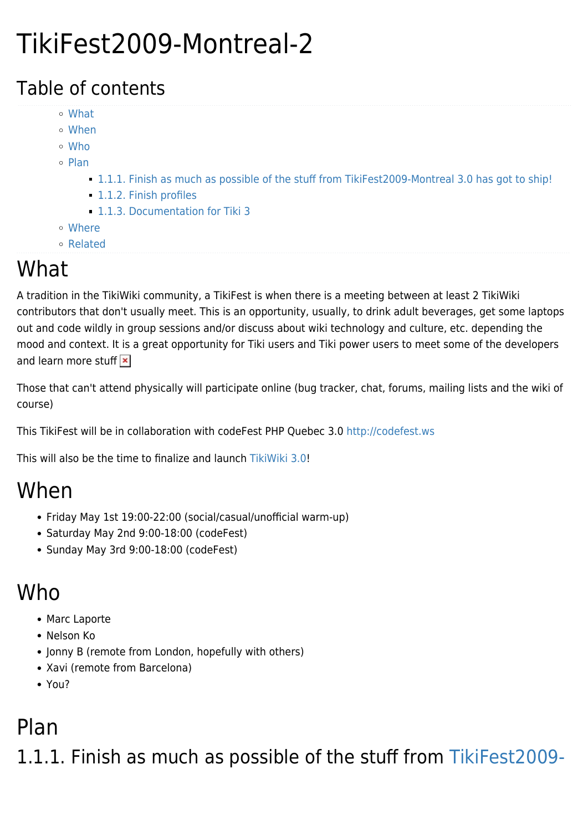# TikiFest2009-Montreal-2

#### Table of contents

- [What](#page--1-0)
- [When](#page--1-0)
- [Who](#page--1-0)
- o [Plan](#page--1-0)
	- [1.1.1. Finish as much as possible of the stuff from TikiFest2009-Montreal 3.0 has got to ship!](#Finish_as_much_as_possible_of_the_stuff_from_TikiFest2009-Montreal_3.0_has_got_to_ship_)
	- **[1.1.2. Finish profiles](#page--1-0)**
	- [1.1.3. Documentation for Tiki 3](#page--1-0)
- [Where](#page--1-0)
- [Related](#page--1-0)

## What

A tradition in the TikiWiki community, a TikiFest is when there is a meeting between at least 2 TikiWiki contributors that don't usually meet. This is an opportunity, usually, to drink adult beverages, get some laptops out and code wildly in group sessions and/or discuss about wiki technology and culture, etc. depending the mood and context. It is a great opportunity for Tiki users and Tiki power users to meet some of the developers and learn more stuff  $\vert x \vert$ 

Those that can't attend physically will participate online (bug tracker, chat, forums, mailing lists and the wiki of course)

This TikiFest will be in collaboration with codeFest PHP Quebec 3.0<http://codefest.ws>

This will also be the time to finalize and launch [TikiWiki 3.0](http://doc.tiki.org/TikiWiki%203.0)!

### When

- Friday May 1st 19:00-22:00 (social/casual/unofficial warm-up)
- Saturday May 2nd 9:00-18:00 (codeFest)
- Sunday May 3rd 9:00-18:00 (codeFest)

### Who

- Marc Laporte
- Nelson Ko
- Jonny B (remote from London, hopefully with others)
- Xavi (remote from Barcelona)
- You?

#### Plan

1.1.1. Finish as much as possible of the stuff from [TikiFest2009-](https://tiki.org/TikiFest2009-Montreal)